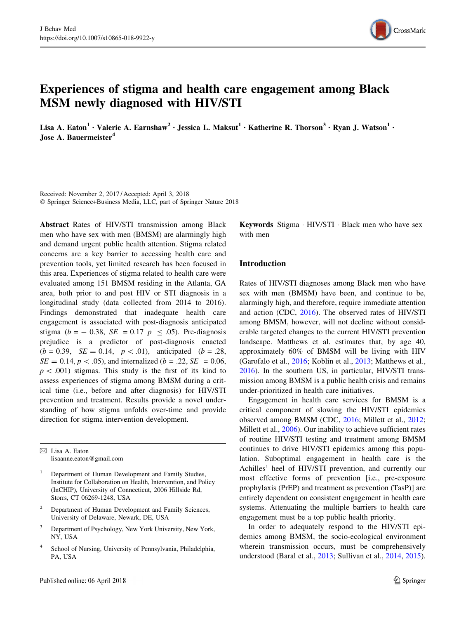

# Experiences of stigma and health care engagement among Black MSM newly diagnosed with HIV/STI

Lisa A. Eaton<sup>1</sup> • Valerie A. Earnshaw<sup>2</sup> • Jessica L. Maksut<sup>1</sup> • Katherine R. Thorson<sup>3</sup> • Ryan J. Watson<sup>1</sup> • Jose A. Bauermeister<sup>4</sup>

Received: November 2, 2017 / Accepted: April 3, 2018 - Springer Science+Business Media, LLC, part of Springer Nature 2018

Abstract Rates of HIV/STI transmission among Black men who have sex with men (BMSM) are alarmingly high and demand urgent public health attention. Stigma related concerns are a key barrier to accessing health care and prevention tools, yet limited research has been focused in this area. Experiences of stigma related to health care were evaluated among 151 BMSM residing in the Atlanta, GA area, both prior to and post HIV or STI diagnosis in a longitudinal study (data collected from 2014 to 2016). Findings demonstrated that inadequate health care engagement is associated with post-diagnosis anticipated stigma ( $b = -0.38$ ,  $SE = 0.17$   $p \le .05$ ). Pre-diagnosis prejudice is a predictor of post-diagnosis enacted  $(b = 0.39, \, SE = 0.14, \, p < .01),$  anticipated  $(b = .28,$  $SE = 0.14, p < .05$ , and internalized (b = .22, SE = 0.06,  $p < .001$ ) stigmas. This study is the first of its kind to assess experiences of stigma among BMSM during a critical time (i.e., before and after diagnosis) for HIV/STI prevention and treatment. Results provide a novel understanding of how stigma unfolds over-time and provide direction for stigma intervention development.

 $\boxtimes$  Lisa A. Eaton lisaanne.eaton@gmail.com

- Department of Human Development and Family Studies, Institute for Collaboration on Health, Intervention, and Policy (InCHIP), University of Connecticut, 2006 Hillside Rd, Storrs, CT 06269-1248, USA
- <sup>2</sup> Department of Human Development and Family Sciences, University of Delaware, Newark, DE, USA
- <sup>3</sup> Department of Psychology, New York University, New York, NY, USA
- School of Nursing, University of Pennsylvania, Philadelphia, PA, USA

Keywords Stigma - HIV/STI - Black men who have sex with men

# Introduction

Rates of HIV/STI diagnoses among Black men who have sex with men (BMSM) have been, and continue to be, alarmingly high, and therefore, require immediate attention and action (CDC, [2016\)](#page-7-0). The observed rates of HIV/STI among BMSM, however, will not decline without considerable targeted changes to the current HIV/STI prevention landscape. Matthews et al. estimates that, by age 40, approximately 60% of BMSM will be living with HIV (Garofalo et al., [2016;](#page-7-0) Koblin et al., [2013](#page-7-0); Matthews et al., [2016](#page-7-0)). In the southern US, in particular, HIV/STI transmission among BMSM is a public health crisis and remains under-prioritized in health care initiatives.

Engagement in health care services for BMSM is a critical component of slowing the HIV/STI epidemics observed among BMSM (CDC, [2016;](#page-7-0) Millett et al., [2012](#page-7-0); Millett et al., [2006](#page-7-0)). Our inability to achieve sufficient rates of routine HIV/STI testing and treatment among BMSM continues to drive HIV/STI epidemics among this population. Suboptimal engagement in health care is the Achilles' heel of HIV/STI prevention, and currently our most effective forms of prevention [i.e., pre-exposure prophylaxis (PrEP) and treatment as prevention (TasP)] are entirely dependent on consistent engagement in health care systems. Attenuating the multiple barriers to health care engagement must be a top public health priority.

In order to adequately respond to the HIV/STI epidemics among BMSM, the socio-ecological environment wherein transmission occurs, must be comprehensively understood (Baral et al., [2013](#page-7-0); Sullivan et al., [2014](#page-8-0), [2015](#page-8-0)).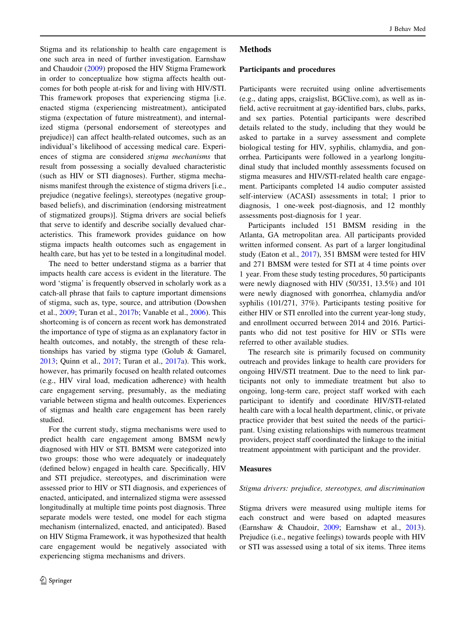Stigma and its relationship to health care engagement is one such area in need of further investigation. Earnshaw and Chaudoir [\(2009](#page-7-0)) proposed the HIV Stigma Framework in order to conceptualize how stigma affects health outcomes for both people at-risk for and living with HIV/STI. This framework proposes that experiencing stigma [i.e. enacted stigma (experiencing mistreatment), anticipated stigma (expectation of future mistreatment), and internalized stigma (personal endorsement of stereotypes and prejudice)] can affect health-related outcomes, such as an individual's likelihood of accessing medical care. Experiences of stigma are considered stigma mechanisms that result from possessing a socially devalued characteristic (such as HIV or STI diagnoses). Further, stigma mechanisms manifest through the existence of stigma drivers [i.e., prejudice (negative feelings), stereotypes (negative groupbased beliefs), and discrimination (endorsing mistreatment of stigmatized groups)]. Stigma drivers are social beliefs that serve to identify and describe socially devalued characteristics. This framework provides guidance on how stigma impacts health outcomes such as engagement in health care, but has yet to be tested in a longitudinal model.

The need to better understand stigma as a barrier that impacts health care access is evident in the literature. The word 'stigma' is frequently observed in scholarly work as a catch-all phrase that fails to capture important dimensions of stigma, such as, type, source, and attribution (Dowshen et al., [2009;](#page-7-0) Turan et al., [2017b](#page-8-0); Vanable et al., [2006\)](#page-8-0). This shortcoming is of concern as recent work has demonstrated the importance of type of stigma as an explanatory factor in health outcomes, and notably, the strength of these relationships has varied by stigma type (Golub & Gamarel, [2013;](#page-7-0) Quinn et al., [2017;](#page-7-0) Turan et al., [2017a\)](#page-8-0). This work, however, has primarily focused on health related outcomes (e.g., HIV viral load, medication adherence) with health care engagement serving, presumably, as the mediating variable between stigma and health outcomes. Experiences of stigmas and health care engagement has been rarely studied.

For the current study, stigma mechanisms were used to predict health care engagement among BMSM newly diagnosed with HIV or STI. BMSM were categorized into two groups: those who were adequately or inadequately (defined below) engaged in health care. Specifically, HIV and STI prejudice, stereotypes, and discrimination were assessed prior to HIV or STI diagnosis, and experiences of enacted, anticipated, and internalized stigma were assessed longitudinally at multiple time points post diagnosis. Three separate models were tested, one model for each stigma mechanism (internalized, enacted, and anticipated). Based on HIV Stigma Framework, it was hypothesized that health care engagement would be negatively associated with experiencing stigma mechanisms and drivers.

# Methods

### Participants and procedures

Participants were recruited using online advertisements (e.g., dating apps, craigslist, BGClive.com), as well as infield, active recruitment at gay-identified bars, clubs, parks, and sex parties. Potential participants were described details related to the study, including that they would be asked to partake in a survey assessment and complete biological testing for HIV, syphilis, chlamydia, and gonorrhea. Participants were followed in a yearlong longitudinal study that included monthly assessments focused on stigma measures and HIV/STI-related health care engagement. Participants completed 14 audio computer assisted self-interview (ACASI) assessments in total; 1 prior to diagnosis, 1 one-week post-diagnosis, and 12 monthly assessments post-diagnosis for 1 year.

Participants included 151 BMSM residing in the Atlanta, GA metropolitan area. All participants provided written informed consent. As part of a larger longitudinal study (Eaton et al., [2017\)](#page-7-0), 351 BMSM were tested for HIV and 271 BMSM were tested for STI at 4 time points over 1 year. From these study testing procedures, 50 participants were newly diagnosed with HIV (50/351, 13.5%) and 101 were newly diagnosed with gonorrhea, chlamydia and/or syphilis (101/271, 37%). Participants testing positive for either HIV or STI enrolled into the current year-long study, and enrollment occurred between 2014 and 2016. Participants who did not test positive for HIV or STIs were referred to other available studies.

The research site is primarily focused on community outreach and provides linkage to health care providers for ongoing HIV/STI treatment. Due to the need to link participants not only to immediate treatment but also to ongoing, long-term care, project staff worked with each participant to identify and coordinate HIV/STI-related health care with a local health department, clinic, or private practice provider that best suited the needs of the participant. Using existing relationships with numerous treatment providers, project staff coordinated the linkage to the initial treatment appointment with participant and the provider.

### Measures

### Stigma drivers: prejudice, stereotypes, and discrimination

Stigma drivers were measured using multiple items for each construct and were based on adapted measures (Earnshaw & Chaudoir, [2009;](#page-7-0) Earnshaw et al., [2013](#page-7-0)). Prejudice (i.e., negative feelings) towards people with HIV or STI was assessed using a total of six items. Three items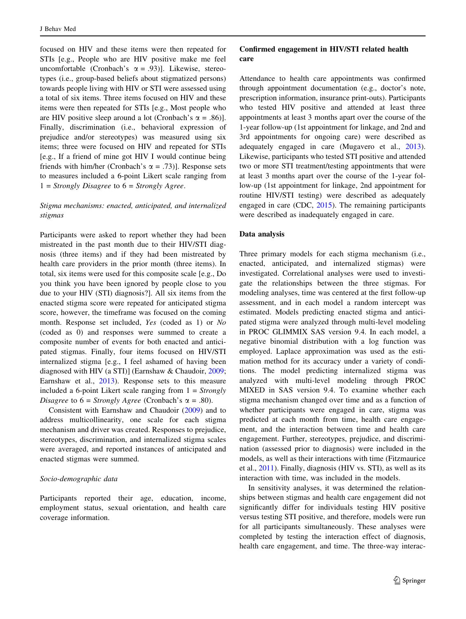focused on HIV and these items were then repeated for STIs [e.g., People who are HIV positive make me feel uncomfortable (Cronbach's  $\alpha = .93$ ). Likewise, stereotypes (i.e., group-based beliefs about stigmatized persons) towards people living with HIV or STI were assessed using a total of six items. Three items focused on HIV and these items were then repeated for STIs [e.g., Most people who are HIV positive sleep around a lot (Cronbach's  $\alpha = .86$ ). Finally, discrimination (i.e., behavioral expression of prejudice and/or stereotypes) was measured using six items; three were focused on HIV and repeated for STIs [e.g., If a friend of mine got HIV I would continue being friends with him/her (Cronbach's  $\alpha = .73$ )]. Response sets to measures included a 6-point Likert scale ranging from  $1 =$  Strongly Disagree to  $6 =$  Strongly Agree.

# Stigma mechanisms: enacted, anticipated, and internalized stigmas

Participants were asked to report whether they had been mistreated in the past month due to their HIV/STI diagnosis (three items) and if they had been mistreated by health care providers in the prior month (three items). In total, six items were used for this composite scale [e.g., Do you think you have been ignored by people close to you due to your HIV (STI) diagnosis?]. All six items from the enacted stigma score were repeated for anticipated stigma score, however, the timeframe was focused on the coming month. Response set included, Yes (coded as 1) or No (coded as 0) and responses were summed to create a composite number of events for both enacted and anticipated stigmas. Finally, four items focused on HIV/STI internalized stigma [e.g., I feel ashamed of having been diagnosed with HIV (a STI)] (Earnshaw & Chaudoir, [2009](#page-7-0); Earnshaw et al., [2013\)](#page-7-0). Response sets to this measure included a 6-point Likert scale ranging from  $1 = \frac{Strongly}{}$ Disagree to  $6 =$  Strongly Agree (Cronbach's  $\alpha = .80$ ).

Consistent with Earnshaw and Chaudoir ([2009\)](#page-7-0) and to address multicollinearity, one scale for each stigma mechanism and driver was created. Responses to prejudice, stereotypes, discrimination, and internalized stigma scales were averaged, and reported instances of anticipated and enacted stigmas were summed.

# Socio-demographic data

Participants reported their age, education, income, employment status, sexual orientation, and health care coverage information.

# Confirmed engagement in HIV/STI related health care

Attendance to health care appointments was confirmed through appointment documentation (e.g., doctor's note, prescription information, insurance print-outs). Participants who tested HIV positive and attended at least three appointments at least 3 months apart over the course of the 1-year follow-up (1st appointment for linkage, and 2nd and 3rd appointments for ongoing care) were described as adequately engaged in care (Mugavero et al., [2013](#page-7-0)). Likewise, participants who tested STI positive and attended two or more STI treatment/testing appointments that were at least 3 months apart over the course of the 1-year follow-up (1st appointment for linkage, 2nd appointment for routine HIV/STI testing) were described as adequately engaged in care (CDC, [2015\)](#page-7-0). The remaining participants were described as inadequately engaged in care.

#### Data analysis

Three primary models for each stigma mechanism (i.e., enacted, anticipated, and internalized stigmas) were investigated. Correlational analyses were used to investigate the relationships between the three stigmas. For modeling analyses, time was centered at the first follow-up assessment, and in each model a random intercept was estimated. Models predicting enacted stigma and anticipated stigma were analyzed through multi-level modeling in PROC GLIMMIX SAS version 9.4. In each model, a negative binomial distribution with a log function was employed. Laplace approximation was used as the estimation method for its accuracy under a variety of conditions. The model predicting internalized stigma was analyzed with multi-level modeling through PROC MIXED in SAS version 9.4. To examine whether each stigma mechanism changed over time and as a function of whether participants were engaged in care, stigma was predicted at each month from time, health care engagement, and the interaction between time and health care engagement. Further, stereotypes, prejudice, and discrimination (assessed prior to diagnosis) were included in the models, as well as their interactions with time (Fitzmaurice et al., [2011\)](#page-7-0). Finally, diagnosis (HIV vs. STI), as well as its interaction with time, was included in the models.

In sensitivity analyses, it was determined the relationships between stigmas and health care engagement did not significantly differ for individuals testing HIV positive versus testing STI positive, and therefore, models were run for all participants simultaneously. These analyses were completed by testing the interaction effect of diagnosis, health care engagement, and time. The three-way interac-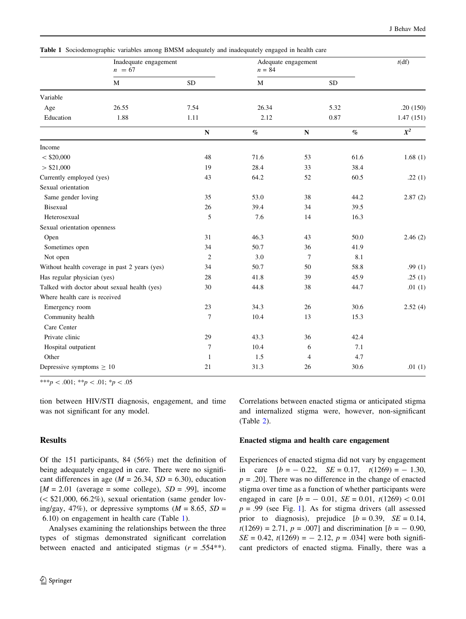|                               | Inadequate engagement<br>$n = 67$             |                | Adequate engagement<br>$n = 84$ |                |            | t(df)     |
|-------------------------------|-----------------------------------------------|----------------|---------------------------------|----------------|------------|-----------|
|                               | $\mathbf M$                                   | ${\rm SD}$     | $\mathbf M$                     |                | ${\rm SD}$ |           |
| Variable                      |                                               |                |                                 |                |            |           |
| Age                           | 26.55                                         | 7.54           | 26.34                           |                | 5.32       | .20(150)  |
| Education                     | 1.88                                          | 1.11           | 2.12                            |                | 0.87       | 1.47(151) |
|                               |                                               | ${\bf N}$      | $\%$                            | ${\bf N}$      | $\%$       | $X^2$     |
| Income                        |                                               |                |                                 |                |            |           |
| $<$ \$20,000                  |                                               | 48             | 71.6                            | 53             | 61.6       | 1.68(1)   |
| > \$21,000                    |                                               | 19             | 28.4                            | 33             | 38.4       |           |
| Currently employed (yes)      |                                               | 43             | 64.2                            | 52             | 60.5       | .22(1)    |
| Sexual orientation            |                                               |                |                                 |                |            |           |
| Same gender loving            |                                               | 35             | 53.0                            | 38             | 44.2       | 2.87(2)   |
| Bisexual                      |                                               | 26             | 39.4                            | 34             | 39.5       |           |
| Heterosexual                  |                                               | 5              | 7.6                             | 14             | 16.3       |           |
| Sexual orientation openness   |                                               |                |                                 |                |            |           |
| Open                          |                                               | 31             | 46.3                            | 43             | 50.0       | 2.46(2)   |
| Sometimes open                |                                               | 34             | 50.7                            | 36             | 41.9       |           |
| Not open                      |                                               | $\overline{2}$ | 3.0                             | 7              | 8.1        |           |
|                               | Without health coverage in past 2 years (yes) | 34             | 50.7                            | 50             | 58.8       | .99 $(1)$ |
| Has regular physician (yes)   |                                               | 28             | 41.8                            | 39             | 45.9       | .25(1)    |
|                               | Talked with doctor about sexual health (yes)  | 30             | 44.8                            | 38             | 44.7       | .01 $(1)$ |
| Where health care is received |                                               |                |                                 |                |            |           |
| Emergency room                |                                               | 23             | 34.3                            | 26             | 30.6       | 2.52(4)   |
| Community health              |                                               | $\tau$         | 10.4                            | 13             | 15.3       |           |
| Care Center                   |                                               |                |                                 |                |            |           |
| Private clinic                |                                               | 29             | 43.3                            | 36             | 42.4       |           |
| Hospital outpatient           |                                               | $\tau$         | 10.4                            | 6              | 7.1        |           |
| Other                         |                                               | $\mathbf{1}$   | 1.5                             | $\overline{4}$ | 4.7        |           |
| Depressive symptoms $\geq 10$ |                                               | 21             | 31.3                            | 26             | 30.6       | .01 $(1)$ |

Table 1 Sociodemographic variables among BMSM adequately and inadequately engaged in health care

\*\*\*p < .001; \*\*p < .01; \*p < .05

tion between HIV/STI diagnosis, engagement, and time was not significant for any model.

# Results

Of the 151 participants, 84 (56%) met the definition of being adequately engaged in care. There were no significant differences in age ( $M = 26.34$ ,  $SD = 6.30$ ), education  $[M = 2.01$  (average = some college),  $SD = .99$ ], income  $(<$  \$21,000, 66.2%), sexual orientation (same gender loving/gay, 47%), or depressive symptoms  $(M = 8.65, SD =$ 6.10) on engagement in health care (Table 1).

Analyses examining the relationships between the three types of stigmas demonstrated significant correlation between enacted and anticipated stigmas  $(r = .554**)$ .

Correlations between enacted stigma or anticipated stigma and internalized stigma were, however, non-significant (Table [2\)](#page-4-0).

# Enacted stigma and health care engagement

Experiences of enacted stigma did not vary by engagement in care  $[b = -0.22, \quad SE = 0.17, \quad t(1269) = -1.30,$  $p = .20$ . There was no difference in the change of enacted stigma over time as a function of whether participants were engaged in care  $[b = -0.01, SE = 0.01, t(1269) < 0.01]$  $p = .99$  (see Fig. 1). As for stigma drivers (all assessed prior to diagnosis), prejudice  $[b = 0.39, \, SE = 0.14,$  $t(1269) = 2.71$ ,  $p = .007$ ] and discrimination  $[b = -0.90]$ ,  $SE = 0.42$ ,  $t(1269) = -2.12$ ,  $p = .034$  were both significant predictors of enacted stigma. Finally, there was a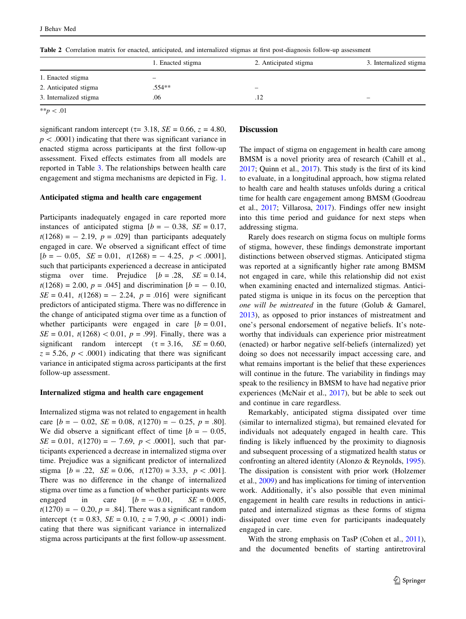<span id="page-4-0"></span>Table 2 Correlation matrix for enacted, anticipated, and internalized stigmas at first post-diagnosis follow-up assessment

|                        | 1. Enacted stigma | 2. Anticipated stigma | 3. Internalized stigma |
|------------------------|-------------------|-----------------------|------------------------|
| 1. Enacted stigma      | -                 |                       |                        |
| 2. Anticipated stigma  | $.554**$          | -                     |                        |
| 3. Internalized stigma | .06               | .12                   | -                      |
| .                      |                   |                       |                        |

 $* p < .01$ 

significant random intercept ( $\tau$ = 3.18, *SE* = 0.66,  $z$  = 4.80,  $p < .0001$ ) indicating that there was significant variance in enacted stigma across participants at the first follow-up assessment. Fixed effects estimates from all models are reported in Table [3.](#page-5-0) The relationships between health care engagement and stigma mechanisms are depicted in Fig. [1.](#page-5-0)

#### Anticipated stigma and health care engagement

Participants inadequately engaged in care reported more instances of anticipated stigma  $[b = -0.38, SE = 0.17,$  $t(1268) = -2.19$ ,  $p = .029$ ] than participants adequately engaged in care. We observed a significant effect of time  $[b = -0.05, \ \ SE = 0.01, \ \ t(1268) = -4.25, \ \ p < .0001],$ such that participants experienced a decrease in anticipated stigma over time. Prejudice  $[b = .28, \quad SE = 0.14,$  $t(1268) = 2.00, p = .045$ ] and discrimination  $[b = -0.10,$  $SE = 0.41$ ,  $t(1268) = -2.24$ ,  $p = .016$  were significant predictors of anticipated stigma. There was no difference in the change of anticipated stigma over time as a function of whether participants were engaged in care  $[b = 0.01]$ ,  $SE = 0.01$ ,  $t(1268) < 0.01$ ,  $p = .99$ ]. Finally, there was a significant random intercept  $(\tau = 3.16, \quad SE = 0.60,$  $z = 5.26$ ,  $p < .0001$ ) indicating that there was significant variance in anticipated stigma across participants at the first follow-up assessment.

### Internalized stigma and health care engagement

Internalized stigma was not related to engagement in health care  $[b = -0.02, SE = 0.08, t(1270) = -0.25, p = .80]$ . We did observe a significant effect of time  $[b = -0.05,$  $SE = 0.01$ ,  $t(1270) = -7.69$ ,  $p < .0001$ , such that participants experienced a decrease in internalized stigma over time. Prejudice was a significant predictor of internalized stigma  $[b = .22, \ SE = 0.06, \ t(1270) = 3.33, \ p < .001].$ There was no difference in the change of internalized stigma over time as a function of whether participants were engaged in care  $[b = -0.01, SE = 0.005,$  $t(1270) = -0.20, p = .84$ . There was a significant random intercept ( $\tau = 0.83$ ,  $SE = 0.10$ ,  $z = 7.90$ ,  $p < .0001$ ) indicating that there was significant variance in internalized stigma across participants at the first follow-up assessment.

## **Discussion**

The impact of stigma on engagement in health care among BMSM is a novel priority area of research (Cahill et al., [2017](#page-7-0); Quinn et al., [2017](#page-7-0)). This study is the first of its kind to evaluate, in a longitudinal approach, how stigma related to health care and health statuses unfolds during a critical time for health care engagement among BMSM (Goodreau et al., [2017;](#page-7-0) Villarosa, [2017\)](#page-8-0). Findings offer new insight into this time period and guidance for next steps when addressing stigma.

Rarely does research on stigma focus on multiple forms of stigma, however, these findings demonstrate important distinctions between observed stigmas. Anticipated stigma was reported at a significantly higher rate among BMSM not engaged in care, while this relationship did not exist when examining enacted and internalized stigmas. Anticipated stigma is unique in its focus on the perception that one will be mistreated in the future (Golub & Gamarel, [2013](#page-7-0)), as opposed to prior instances of mistreatment and one's personal endorsement of negative beliefs. It's noteworthy that individuals can experience prior mistreatment (enacted) or harbor negative self-beliefs (internalized) yet doing so does not necessarily impact accessing care, and what remains important is the belief that these experiences will continue in the future. The variability in findings may speak to the resiliency in BMSM to have had negative prior experiences (McNair et al., [2017\)](#page-7-0), but be able to seek out and continue in care regardless.

Remarkably, anticipated stigma dissipated over time (similar to internalized stigma), but remained elevated for individuals not adequately engaged in health care. This finding is likely influenced by the proximity to diagnosis and subsequent processing of a stigmatized health status or confronting an altered identity (Alonzo & Reynolds, [1995](#page-7-0)). The dissipation is consistent with prior work (Holzemer et al., [2009\)](#page-7-0) and has implications for timing of intervention work. Additionally, it's also possible that even minimal engagement in health care results in reductions in anticipated and internalized stigmas as these forms of stigma dissipated over time even for participants inadequately engaged in care.

With the strong emphasis on TasP (Cohen et al., [2011](#page-7-0)), and the documented benefits of starting antiretroviral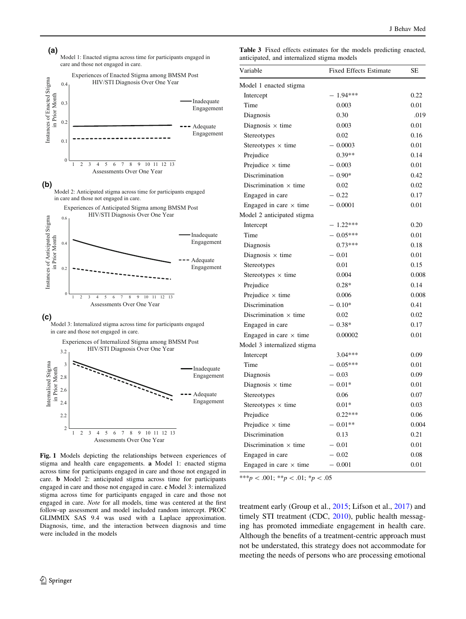<span id="page-5-0"></span>

**(b)**

Model 2: Anticipated stigma across time for participants engaged in care and those not engaged in care.



**(c)**

Model 3: Internalized stigma across time for participants engaged in care and those not engaged in care.



Fig. 1 Models depicting the relationships between experiences of stigma and health care engagements. a Model 1: enacted stigma across time for participants engaged in care and those not engaged in care. b Model 2: anticipated stigma across time for participants engaged in care and those not engaged in care. c Model 3: internalized stigma across time for participants engaged in care and those not engaged in care. Note for all models, time was centered at the first follow-up assessment and model included random intercept. PROC GLIMMIX SAS 9.4 was used with a Laplace approximation. Diagnosis, time, and the interaction between diagnosis and time were included in the models

Table 3 Fixed effects estimates for the models predicting enacted, anticipated, and internalized stigma models

| Variable                      | <b>Fixed Effects Estimate</b> | SЕ    |
|-------------------------------|-------------------------------|-------|
| Model 1 enacted stigma        |                               |       |
| Intercept                     | $-1.94***$                    | 0.22  |
| Time                          | 0.003                         | 0.01  |
| Diagnosis                     | 0.30                          | .019  |
| Diagnosis $\times$ time       | 0.003                         | 0.01  |
| Stereotypes                   | 0.02                          | 0.16  |
| Stereotypes $\times$ time     | $-0.0003$                     | 0.01  |
| Prejudice                     | $0.39**$                      | 0.14  |
| Prejudice $\times$ time       | $-0.003$                      | 0.01  |
| Discrimination                | $-0.90*$                      | 0.42  |
| Discrimination $\times$ time  | 0.02                          | 0.02  |
| Engaged in care               | $-0.22$                       | 0.17  |
| Engaged in care $\times$ time | $-0.0001$                     | 0.01  |
| Model 2 anticipated stigma    |                               |       |
| Intercept                     | $-1.22***$                    | 0.20  |
| Time                          | $-0.05***$                    | 0.01  |
| Diagnosis                     | $0.73***$                     | 0.18  |
| Diagnosis $\times$ time       | $-0.01$                       | 0.01  |
| Stereotypes                   | 0.01                          | 0.15  |
| Stereotypes $\times$ time     | 0.004                         | 0.008 |
| Prejudice                     | $0.28*$                       | 0.14  |
| Prejudice $\times$ time       | 0.006                         | 0.008 |
| Discrimination                | $-0.10*$                      | 0.41  |
| Discrimination $\times$ time  | 0.02                          | 0.02  |
| Engaged in care               | $-0.38*$                      | 0.17  |
| Engaged in care $\times$ time | 0.00002                       | 0.01  |
| Model 3 internalized stigma   |                               |       |
| Intercept                     | $3.04***$                     | 0.09  |
| Time                          | $-0.05***$                    | 0.01  |
| Diagnosis                     | $-0.03$                       | 0.09  |
| Diagnosis $\times$ time       | $-0.01*$                      | 0.01  |
| Stereotypes                   | 0.06                          | 0.07  |
| Stereotypes $\times$ time     | $0.01*$                       | 0.03  |
| Prejudice                     | $0.22***$                     | 0.06  |
| Prejudice $\times$ time       | $-0.01**$                     | 0.004 |
| Discrimination                | 0.13                          | 0.21  |
| Discrimination $\times$ time  | $-0.01$                       | 0.01  |
| Engaged in care               | $-0.02$                       | 0.08  |
| Engaged in care $\times$ time | $-0.001$                      | 0.01  |

\*\*\*p < .001; \*\*p < .01; \*p < .05

treatment early (Group et al., [2015](#page-7-0); Lifson et al., [2017\)](#page-7-0) and timely STI treatment (CDC, [2010](#page-7-0)), public health messaging has promoted immediate engagement in health care. Although the benefits of a treatment-centric approach must not be understated, this strategy does not accommodate for meeting the needs of persons who are processing emotional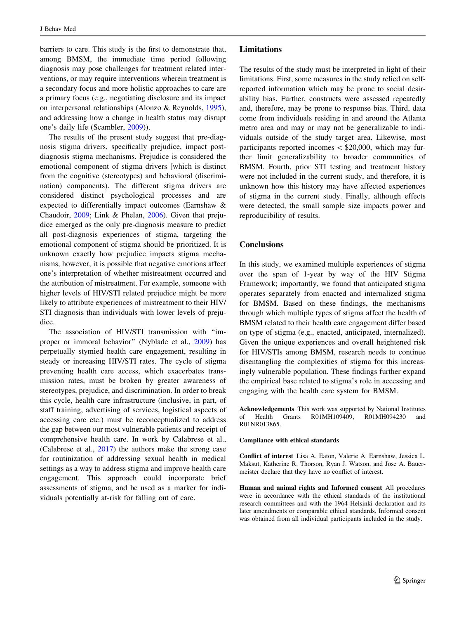barriers to care. This study is the first to demonstrate that, among BMSM, the immediate time period following diagnosis may pose challenges for treatment related interventions, or may require interventions wherein treatment is a secondary focus and more holistic approaches to care are a primary focus (e.g., negotiating disclosure and its impact on interpersonal relationships (Alonzo & Reynolds, [1995](#page-7-0)), and addressing how a change in health status may disrupt one's daily life (Scambler, [2009](#page-7-0))).

The results of the present study suggest that pre-diagnosis stigma drivers, specifically prejudice, impact postdiagnosis stigma mechanisms. Prejudice is considered the emotional component of stigma drivers [which is distinct from the cognitive (stereotypes) and behavioral (discrimination) components). The different stigma drivers are considered distinct psychological processes and are expected to differentially impact outcomes (Earnshaw & Chaudoir, [2009](#page-7-0); Link & Phelan, [2006\)](#page-7-0). Given that prejudice emerged as the only pre-diagnosis measure to predict all post-diagnosis experiences of stigma, targeting the emotional component of stigma should be prioritized. It is unknown exactly how prejudice impacts stigma mechanisms, however, it is possible that negative emotions affect one's interpretation of whether mistreatment occurred and the attribution of mistreatment. For example, someone with higher levels of HIV/STI related prejudice might be more likely to attribute experiences of mistreatment to their HIV/ STI diagnosis than individuals with lower levels of prejudice.

The association of HIV/STI transmission with ''improper or immoral behavior'' (Nyblade et al., [2009](#page-7-0)) has perpetually stymied health care engagement, resulting in steady or increasing HIV/STI rates. The cycle of stigma preventing health care access, which exacerbates transmission rates, must be broken by greater awareness of stereotypes, prejudice, and discrimination. In order to break this cycle, health care infrastructure (inclusive, in part, of staff training, advertising of services, logistical aspects of accessing care etc.) must be reconceptualized to address the gap between our most vulnerable patients and receipt of comprehensive health care. In work by Calabrese et al., (Calabrese et al., [2017\)](#page-7-0) the authors make the strong case for routinization of addressing sexual health in medical settings as a way to address stigma and improve health care engagement. This approach could incorporate brief assessments of stigma, and be used as a marker for individuals potentially at-risk for falling out of care.

### Limitations

The results of the study must be interpreted in light of their limitations. First, some measures in the study relied on selfreported information which may be prone to social desirability bias. Further, constructs were assessed repeatedly and, therefore, may be prone to response bias. Third, data come from individuals residing in and around the Atlanta metro area and may or may not be generalizable to individuals outside of the study target area. Likewise, most participants reported incomes  $\lt$  \$20,000, which may further limit generalizability to broader communities of BMSM. Fourth, prior STI testing and treatment history were not included in the current study, and therefore, it is unknown how this history may have affected experiences of stigma in the current study. Finally, although effects were detected, the small sample size impacts power and reproducibility of results.

### **Conclusions**

In this study, we examined multiple experiences of stigma over the span of 1-year by way of the HIV Stigma Framework; importantly, we found that anticipated stigma operates separately from enacted and internalized stigma for BMSM. Based on these findings, the mechanisms through which multiple types of stigma affect the health of BMSM related to their health care engagement differ based on type of stigma (e.g., enacted, anticipated, internalized). Given the unique experiences and overall heightened risk for HIV/STIs among BMSM, research needs to continue disentangling the complexities of stigma for this increasingly vulnerable population. These findings further expand the empirical base related to stigma's role in accessing and engaging with the health care system for BMSM.

Acknowledgements This work was supported by National Institutes of Health Grants R01MH109409, R01MH094230 and R01NR013865.

#### Compliance with ethical standards

Conflict of interest Lisa A. Eaton, Valerie A. Earnshaw, Jessica L. Maksut, Katherine R. Thorson, Ryan J. Watson, and Jose A. Bauermeister declare that they have no conflict of interest.

Human and animal rights and Informed consent All procedures were in accordance with the ethical standards of the institutional research committees and with the 1964 Helsinki declaration and its later amendments or comparable ethical standards. Informed consent was obtained from all individual participants included in the study.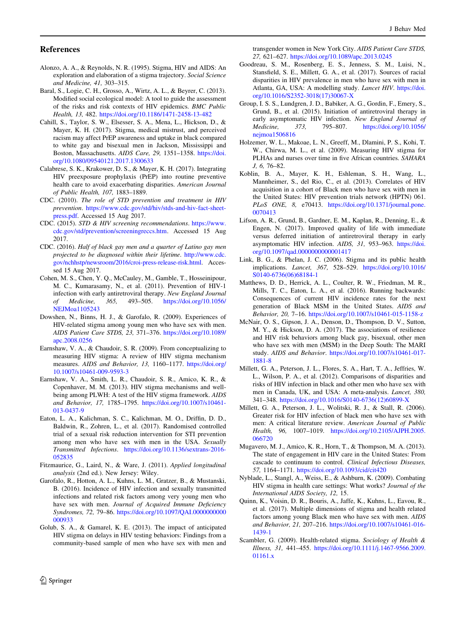### <span id="page-7-0"></span>References

- Alonzo, A. A., & Reynolds, N. R. (1995). Stigma, HIV and AIDS: An exploration and elaboration of a stigma trajectory. Social Science and Medicine, 41, 303–315.
- Baral, S., Logie, C. H., Grosso, A., Wirtz, A. L., & Beyrer, C. (2013). Modified social ecological model: A tool to guide the assessment of the risks and risk contexts of HIV epidemics. BMC Public Health, 13, 482. <https://doi.org/10.1186/1471-2458-13-482>
- Cahill, S., Taylor, S. W., Elsesser, S. A., Mena, L., Hickson, D., & Mayer, K. H. (2017). Stigma, medical mistrust, and perceived racism may affect PrEP awareness and uptake in black compared to white gay and bisexual men in Jackson, Mississippi and Boston, Massachusetts. AIDS Care, 29, 1351–1358. [https://doi.](https://doi.org/10.1080/09540121.2017.1300633) [org/10.1080/09540121.2017.1300633](https://doi.org/10.1080/09540121.2017.1300633)
- Calabrese, S. K., Krakower, D. S., & Mayer, K. H. (2017). Integrating HIV preexposure prophylaxis (PrEP) into routine preventive health care to avoid exacerbating disparities. American Journal of Public Health, 107, 1883–1889.
- CDC. (2010). The role of STD prevention and treatment in HIV prevention. [https://www.cdc.gov/std/hiv/stds-and-hiv-fact-sheet](https://www.cdc.gov/std/hiv/stds-and-hiv-fact-sheet-press.pdf)[press.pdf.](https://www.cdc.gov/std/hiv/stds-and-hiv-fact-sheet-press.pdf) Accessed 15 Aug 2017.
- CDC. (2015). STD & HIV screening recommendations. [https://www.](https://www.cdc.gov/std/prevention/screeningreccs.htm) [cdc.gov/std/prevention/screeningreccs.htm](https://www.cdc.gov/std/prevention/screeningreccs.htm). Accessed 15 Aug 2017.
- CDC. (2016). Half of black gay men and a quarter of Latino gay men projected to be diagnosed within their lifetime. [http://www.cdc.](http://www.cdc.gov/nchhstp/newsroom/2016/croi-press-release-risk.html) [gov/nchhstp/newsroom/2016/croi-press-release-risk.html](http://www.cdc.gov/nchhstp/newsroom/2016/croi-press-release-risk.html). Accessed 15 Aug 2017.
- Cohen, M. S., Chen, Y. Q., McCauley, M., Gamble, T., Hosseinipour, M. C., Kumarasamy, N., et al. (2011). Prevention of HIV-1 infection with early antiretroviral therapy. New England Journal of Medicine, 365, 493–505. [https://doi.org/10.1056/](https://doi.org/10.1056/NEJMoa1105243) [NEJMoa1105243](https://doi.org/10.1056/NEJMoa1105243)
- Dowshen, N., Binns, H. J., & Garofalo, R. (2009). Experiences of HIV-related stigma among young men who have sex with men. AIDS Patient Care STDS, 23, 371–376. [https://doi.org/10.1089/](https://doi.org/10.1089/apc.2008.0256) [apc.2008.0256](https://doi.org/10.1089/apc.2008.0256)
- Earnshaw, V. A., & Chaudoir, S. R. (2009). From conceptualizing to measuring HIV stigma: A review of HIV stigma mechanism measures. AIDS and Behavior, 13, 1160–1177. [https://doi.org/](https://doi.org/10.1007/s10461-009-9593-3) [10.1007/s10461-009-9593-3](https://doi.org/10.1007/s10461-009-9593-3)
- Earnshaw, V. A., Smith, L. R., Chaudoir, S. R., Amico, K. R., & Copenhaver, M. M. (2013). HIV stigma mechanisms and wellbeing among PLWH: A test of the HIV stigma framework. AIDS and Behavior, 17, 1785–1795. [https://doi.org/10.1007/s10461-](https://doi.org/10.1007/s10461-013-0437-9) [013-0437-9](https://doi.org/10.1007/s10461-013-0437-9)
- Eaton, L. A., Kalichman, S. C., Kalichman, M. O., Driffin, D. D., Baldwin, R., Zohren, L., et al. (2017). Randomised controlled trial of a sexual risk reduction intervention for STI prevention among men who have sex with men in the USA. Sexually Transmitted Infections. [https://doi.org/10.1136/sextrans-2016-](https://doi.org/10.1136/sextrans-2016-052835) [052835](https://doi.org/10.1136/sextrans-2016-052835)
- Fitzmaurice, G., Laird, N., & Ware, J. (2011). Applied longitudinal analysis (2nd ed.). New Jersey: Wiley.
- Garofalo, R., Hotton, A. L., Kuhns, L. M., Gratzer, B., & Mustanski, B. (2016). Incidence of HIV infection and sexually transmitted infections and related risk factors among very young men who have sex with men. Journal of Acquired Immune Deficiency Syndromes, 72, 79–86. [https://doi.org/10.1097/QAI.0000000000](https://doi.org/10.1097/QAI.0000000000000933) [000933](https://doi.org/10.1097/QAI.0000000000000933)
- Golub, S. A., & Gamarel, K. E. (2013). The impact of anticipated HIV stigma on delays in HIV testing behaviors: Findings from a community-based sample of men who have sex with men and

transgender women in New York City. AIDS Patient Care STDS, 27, 621–627. <https://doi.org/10.1089/apc.2013.0245>

- Goodreau, S. M., Rosenberg, E. S., Jenness, S. M., Luisi, N., Stansfield, S. E., Millett, G. A., et al. (2017). Sources of racial disparities in HIV prevalence in men who have sex with men in Atlanta, GA, USA: A modelling study. Lancet HIV. [https://doi.](https://doi.org/10.1016/S2352-3018(17)30067-X) [org/10.1016/S2352-3018\(17\)30067-X](https://doi.org/10.1016/S2352-3018(17)30067-X)
- Group, I. S. S., Lundgren, J. D., Babiker, A. G., Gordin, F., Emery, S., Grund, B., et al. (2015). Initiation of antiretroviral therapy in early asymptomatic HIV infection. New England Journal of Medicine, 373, 795–807. [https://doi.org/10.1056/](https://doi.org/10.1056/nejmoa1506816) [nejmoa1506816](https://doi.org/10.1056/nejmoa1506816)
- Holzemer, W. L., Makoae, L. N., Greeff, M., Dlamini, P. S., Kohi, T. W., Chirwa, M. L., et al. (2009). Measuring HIV stigma for PLHAs and nurses over time in five African countries. SAHARA J, 6, 76–82.
- Koblin, B. A., Mayer, K. H., Eshleman, S. H., Wang, L., Mannheimer, S., del Rio, C., et al. (2013). Correlates of HIV acquisition in a cohort of Black men who have sex with men in the United States: HIV prevention trials network (HPTN) 061. PLoS ONE, 8, e70413. [https://doi.org/10.1371/journal.pone.](https://doi.org/10.1371/journal.pone.0070413) [0070413](https://doi.org/10.1371/journal.pone.0070413)
- Lifson, A. R., Grund, B., Gardner, E. M., Kaplan, R., Denning, E., & Engen, N. (2017). Improved quality of life with immediate versus deferred initiation of antiretroviral therapy in early asymptomatic HIV infection. AIDS, 31, 953–963. [https://doi.](https://doi.org/10.1097/qad.0000000000001417) [org/10.1097/qad.0000000000001417](https://doi.org/10.1097/qad.0000000000001417)
- Link, B. G., & Phelan, J. C. (2006). Stigma and its public health implications. Lancet, 367, 528–529. [https://doi.org/10.1016/](https://doi.org/10.1016/S0140-6736(06)68184-1) [S0140-6736\(06\)68184-1](https://doi.org/10.1016/S0140-6736(06)68184-1)
- Matthews, D. D., Herrick, A. L., Coulter, R. W., Friedman, M. R., Mills, T. C., Eaton, L. A., et al. (2016). Running backwards: Consequences of current HIV incidence rates for the next generation of Black MSM in the United States. AIDS and Behavior, 20, 7–16. <https://doi.org/10.1007/s10461-015-1158-z>
- McNair, O. S., Gipson, J. A., Denson, D., Thompson, D. V., Sutton, M. Y., & Hickson, D. A. (2017). The associations of resilience and HIV risk behaviors among black gay, bisexual, other men who have sex with men (MSM) in the Deep South: The MARI study. AIDS and Behavior. [https://doi.org/10.1007/s10461-017-](https://doi.org/10.1007/s10461-017-1881-8) [1881-8](https://doi.org/10.1007/s10461-017-1881-8)
- Millett, G. A., Peterson, J. L., Flores, S. A., Hart, T. A., Jeffries, W. L., Wilson, P. A., et al. (2012). Comparisons of disparities and risks of HIV infection in black and other men who have sex with men in Canada, UK, and USA: A meta-analysis. Lancet, 380, 341–348. [https://doi.org/10.1016/S0140-6736\(12\)60899-X](https://doi.org/10.1016/S0140-6736(12)60899-X)
- Millett, G. A., Peterson, J. L., Wolitski, R. J., & Stall, R. (2006). Greater risk for HIV infection of black men who have sex with men: A critical literature review. American Journal of Public Health, 96, 1007–1019. [https://doi.org/10.2105/AJPH.2005.](https://doi.org/10.2105/AJPH.2005.066720) [066720](https://doi.org/10.2105/AJPH.2005.066720)
- Mugavero, M. J., Amico, K. R., Horn, T., & Thompson, M. A. (2013). The state of engagement in HIV care in the United States: From cascade to continuum to control. Clinical Infectious Diseases, 57, 1164–1171. <https://doi.org/10.1093/cid/cit420>
- Nyblade, L., Stangl, A., Weiss, E., & Ashburn, K. (2009). Combating HIV stigma in health care settings: What works? Journal of the International AIDS Society, 12, 15.
- Quinn, K., Voisin, D. R., Bouris, A., Jaffe, K., Kuhns, L., Eavou, R., et al. (2017). Multiple dimensions of stigma and health related factors among young Black men who have sex with men. AIDS and Behavior, 21, 207–216. [https://doi.org/10.1007/s10461-016-](https://doi.org/10.1007/s10461-016-1439-1) [1439-1](https://doi.org/10.1007/s10461-016-1439-1)
- Scambler, G. (2009). Health-related stigma. Sociology of Health & Illness, 31, 441–455. [https://doi.org/10.1111/j.1467-9566.2009.](https://doi.org/10.1111/j.1467-9566.2009.01161.x) [01161.x](https://doi.org/10.1111/j.1467-9566.2009.01161.x)